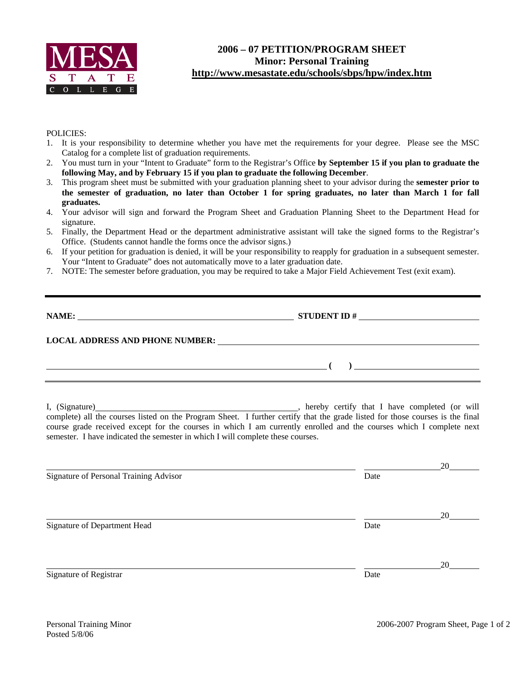

## **2006 – 07 PETITION/PROGRAM SHEET Minor: Personal Training http://www.mesastate.edu/schools/sbps/hpw/index.htm**

## POLICIES:

- 1. It is your responsibility to determine whether you have met the requirements for your degree. Please see the MSC Catalog for a complete list of graduation requirements.
- 2. You must turn in your "Intent to Graduate" form to the Registrar's Office **by September 15 if you plan to graduate the following May, and by February 15 if you plan to graduate the following December**.
- 3. This program sheet must be submitted with your graduation planning sheet to your advisor during the **semester prior to the semester of graduation, no later than October 1 for spring graduates, no later than March 1 for fall graduates.**
- 4. Your advisor will sign and forward the Program Sheet and Graduation Planning Sheet to the Department Head for signature.
- 5. Finally, the Department Head or the department administrative assistant will take the signed forms to the Registrar's Office. (Students cannot handle the forms once the advisor signs.)
- 6. If your petition for graduation is denied, it will be your responsibility to reapply for graduation in a subsequent semester. Your "Intent to Graduate" does not automatically move to a later graduation date.
- 7. NOTE: The semester before graduation, you may be required to take a Major Field Achievement Test (exit exam).

|                                                                                 | NAME: $\qquad \qquad \textbf{STUDENT ID} \# \_ \textbf{S TUDENT ID}$                                                                                                                                                                                                                      |  |  |  |  |  |
|---------------------------------------------------------------------------------|-------------------------------------------------------------------------------------------------------------------------------------------------------------------------------------------------------------------------------------------------------------------------------------------|--|--|--|--|--|
|                                                                                 |                                                                                                                                                                                                                                                                                           |  |  |  |  |  |
|                                                                                 | $\overline{a}$ (c) and the contract of $\overline{a}$ (c) and the contract of $\overline{a}$ (c) and the contract of $\overline{a}$                                                                                                                                                       |  |  |  |  |  |
| semester. I have indicated the semester in which I will complete these courses. | I, (Signature) (I, (Signature) (I, (Signature) all the courses listed on the Program Sheet. I further certify that the grade listed for those courses is the final<br>course grade received except for the courses in which I am currently enrolled and the courses which I complete next |  |  |  |  |  |
| <b>Signature of Personal Training Advisor</b>                                   | 20<br>Date                                                                                                                                                                                                                                                                                |  |  |  |  |  |
| Signature of Department Head                                                    | 20<br>Date                                                                                                                                                                                                                                                                                |  |  |  |  |  |
| Signature of Registrar                                                          | 20<br>Date                                                                                                                                                                                                                                                                                |  |  |  |  |  |